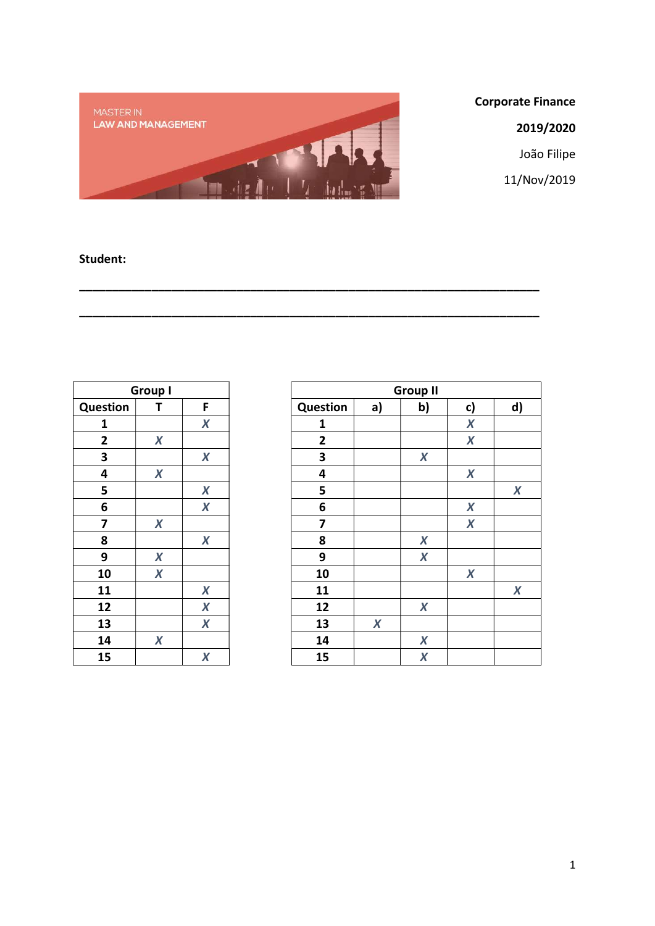

\_\_\_\_\_\_\_\_\_\_\_\_\_\_\_\_\_\_\_\_\_\_\_\_\_\_\_\_\_\_\_\_\_\_\_\_\_\_\_\_\_\_\_\_\_\_\_\_\_\_\_\_\_\_\_\_\_\_\_\_\_\_\_\_\_\_\_\_\_\_

\_\_\_\_\_\_\_\_\_\_\_\_\_\_\_\_\_\_\_\_\_\_\_\_\_\_\_\_\_\_\_\_\_\_\_\_\_\_\_\_\_\_\_\_\_\_\_\_\_\_\_\_\_\_\_\_\_\_\_\_\_\_\_\_\_\_\_\_\_\_

Corporate Finance

2019/2020

João Filipe

11/Nov/2019

## Student:

|                 | <b>Group I</b>   |                  |                 |
|-----------------|------------------|------------------|-----------------|
| <b>Question</b> | Τ                | F                | <b>Question</b> |
| 1               |                  | $\boldsymbol{X}$ | 1               |
| $\mathbf{2}$    | $\boldsymbol{X}$ |                  | $\mathbf{2}$    |
| 3               |                  | $\boldsymbol{X}$ | 3               |
| 4               | $\boldsymbol{X}$ |                  | 4               |
| 5               |                  | $\boldsymbol{X}$ | 5               |
| 6               |                  | $\boldsymbol{X}$ | 6               |
| 7               | $\boldsymbol{X}$ |                  | 7               |
| 8               |                  | $\boldsymbol{X}$ | 8               |
| 9               | $\boldsymbol{X}$ |                  | 9               |
| 10              | $\boldsymbol{X}$ |                  | 10              |
| 11              |                  | $\boldsymbol{X}$ | 11              |
| 12              |                  | $\boldsymbol{X}$ | 12              |
| 13              |                  | $\boldsymbol{X}$ | 13              |
| 14              | $\boldsymbol{X}$ |                  | 14              |
| 15              |                  | $\pmb{X}$        | 15              |

|                 | <b>Group I</b>   |                  |                 |                  | <b>Group II</b>  |                  |                  |
|-----------------|------------------|------------------|-----------------|------------------|------------------|------------------|------------------|
| <b>Question</b> | Т                | F                | <b>Question</b> | a)               | b)               | c)               | d)               |
| 1               |                  | $\boldsymbol{X}$ | 1               |                  |                  | $\boldsymbol{X}$ |                  |
| $\overline{2}$  | $\boldsymbol{X}$ |                  | $\overline{2}$  |                  |                  | $\boldsymbol{X}$ |                  |
| 3               |                  | $\boldsymbol{X}$ | 3               |                  | $\boldsymbol{X}$ |                  |                  |
| 4               | X                |                  | 4               |                  |                  | X                |                  |
| 5               |                  | $\boldsymbol{X}$ | 5               |                  |                  |                  | $\boldsymbol{X}$ |
| 6               |                  | $\boldsymbol{X}$ | 6               |                  |                  | $\boldsymbol{X}$ |                  |
| 7               | $\boldsymbol{X}$ |                  | 7               |                  |                  | $\boldsymbol{X}$ |                  |
| 8               |                  | $\boldsymbol{X}$ | 8               |                  | $\boldsymbol{X}$ |                  |                  |
| 9               | $\boldsymbol{X}$ |                  | 9               |                  | $\boldsymbol{X}$ |                  |                  |
| 10              | $\boldsymbol{X}$ |                  | 10              |                  |                  | $\boldsymbol{X}$ |                  |
| 11              |                  | X                | 11              |                  |                  |                  | $\boldsymbol{X}$ |
| 12              |                  | $\boldsymbol{X}$ | 12              |                  | $\boldsymbol{X}$ |                  |                  |
| 13              |                  | $\boldsymbol{X}$ | 13              | $\boldsymbol{X}$ |                  |                  |                  |
| 14              | $\boldsymbol{X}$ |                  | 14              |                  | $\boldsymbol{X}$ |                  |                  |
| 15              |                  | $\boldsymbol{X}$ | 15              |                  | $\boldsymbol{X}$ |                  |                  |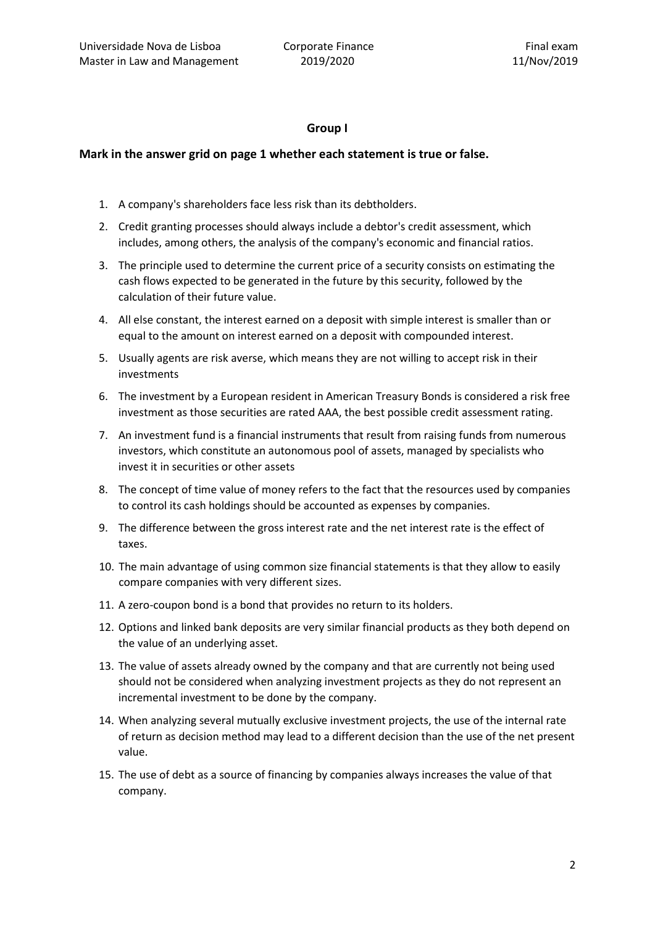### Group I

#### Mark in the answer grid on page 1 whether each statement is true or false.

- 1. A company's shareholders face less risk than its debtholders.
- 2. Credit granting processes should always include a debtor's credit assessment, which includes, among others, the analysis of the company's economic and financial ratios.
- 3. The principle used to determine the current price of a security consists on estimating the cash flows expected to be generated in the future by this security, followed by the calculation of their future value.
- 4. All else constant, the interest earned on a deposit with simple interest is smaller than or equal to the amount on interest earned on a deposit with compounded interest.
- 5. Usually agents are risk averse, which means they are not willing to accept risk in their investments
- 6. The investment by a European resident in American Treasury Bonds is considered a risk free investment as those securities are rated AAA, the best possible credit assessment rating.
- 7. An investment fund is a financial instruments that result from raising funds from numerous investors, which constitute an autonomous pool of assets, managed by specialists who invest it in securities or other assets
- 8. The concept of time value of money refers to the fact that the resources used by companies to control its cash holdings should be accounted as expenses by companies.
- 9. The difference between the gross interest rate and the net interest rate is the effect of taxes.
- 10. The main advantage of using common size financial statements is that they allow to easily compare companies with very different sizes.
- 11. A zero-coupon bond is a bond that provides no return to its holders.
- 12. Options and linked bank deposits are very similar financial products as they both depend on the value of an underlying asset.
- 13. The value of assets already owned by the company and that are currently not being used should not be considered when analyzing investment projects as they do not represent an incremental investment to be done by the company.
- 14. When analyzing several mutually exclusive investment projects, the use of the internal rate of return as decision method may lead to a different decision than the use of the net present value.
- 15. The use of debt as a source of financing by companies always increases the value of that company.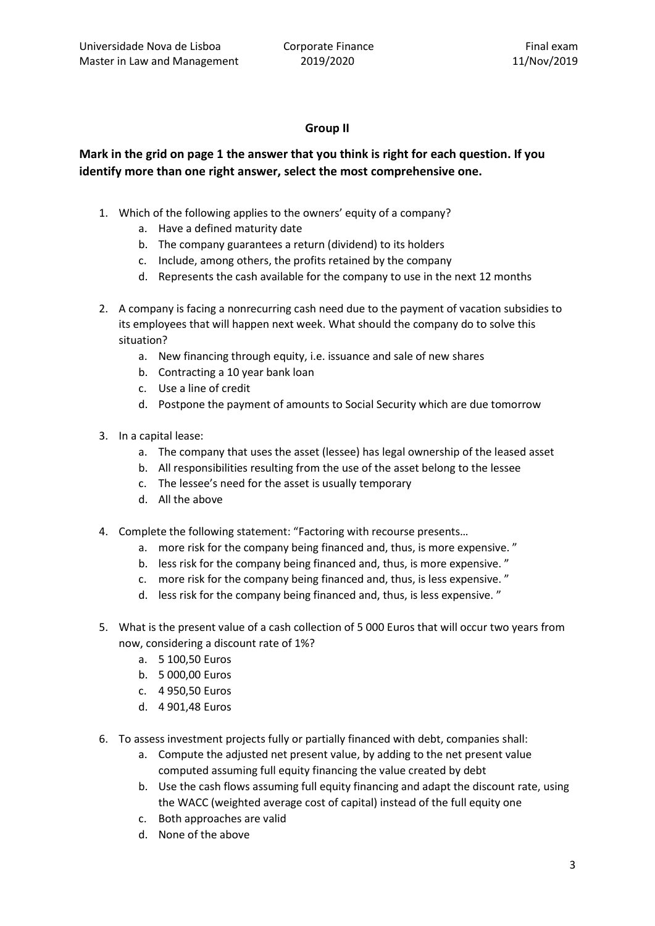## Group II

# Mark in the grid on page 1 the answer that you think is right for each question. If you identify more than one right answer, select the most comprehensive one.

- 1. Which of the following applies to the owners' equity of a company?
	- a. Have a defined maturity date
	- b. The company guarantees a return (dividend) to its holders
	- c. Include, among others, the profits retained by the company
	- d. Represents the cash available for the company to use in the next 12 months
- 2. A company is facing a nonrecurring cash need due to the payment of vacation subsidies to its employees that will happen next week. What should the company do to solve this situation?
	- a. New financing through equity, i.e. issuance and sale of new shares
	- b. Contracting a 10 year bank loan
	- c. Use a line of credit
	- d. Postpone the payment of amounts to Social Security which are due tomorrow
- 3. In a capital lease:
	- a. The company that uses the asset (lessee) has legal ownership of the leased asset
	- b. All responsibilities resulting from the use of the asset belong to the lessee
	- c. The lessee's need for the asset is usually temporary
	- d. All the above
- 4. Complete the following statement: "Factoring with recourse presents…
	- a. more risk for the company being financed and, thus, is more expensive. "
	- b. less risk for the company being financed and, thus, is more expensive. "
	- c. more risk for the company being financed and, thus, is less expensive. "
	- d. less risk for the company being financed and, thus, is less expensive. "
- 5. What is the present value of a cash collection of 5 000 Euros that will occur two years from now, considering a discount rate of 1%?
	- a. 5 100,50 Euros
	- b. 5 000,00 Euros
	- c. 4 950,50 Euros
	- d. 4 901,48 Euros
- 6. To assess investment projects fully or partially financed with debt, companies shall:
	- a. Compute the adjusted net present value, by adding to the net present value computed assuming full equity financing the value created by debt
	- b. Use the cash flows assuming full equity financing and adapt the discount rate, using the WACC (weighted average cost of capital) instead of the full equity one
	- c. Both approaches are valid
	- d. None of the above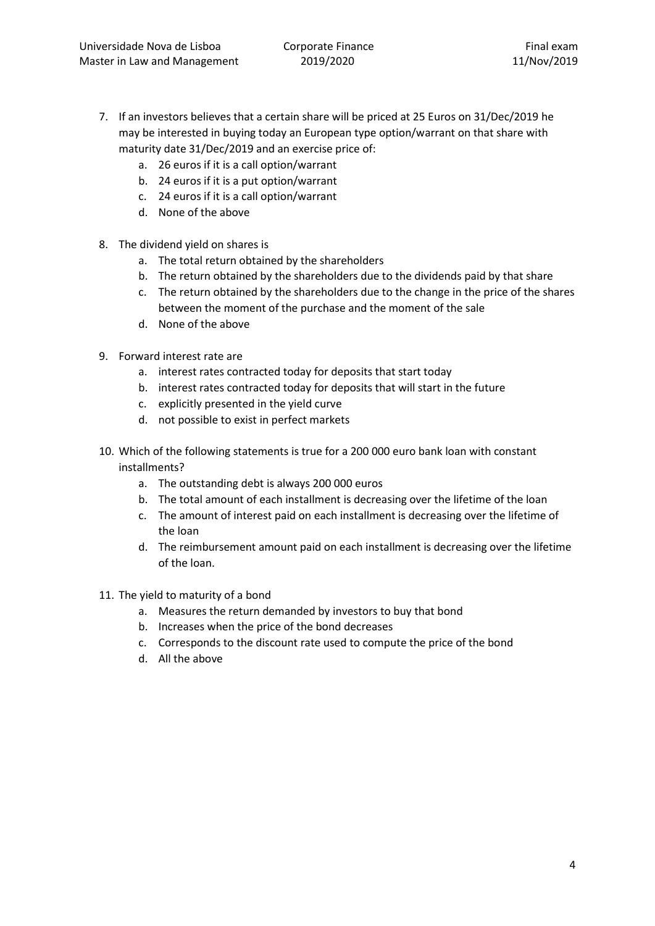- 7. If an investors believes that a certain share will be priced at 25 Euros on 31/Dec/2019 he may be interested in buying today an European type option/warrant on that share with maturity date 31/Dec/2019 and an exercise price of:
	- a. 26 euros if it is a call option/warrant
	- b. 24 euros if it is a put option/warrant
	- c. 24 euros if it is a call option/warrant
	- d. None of the above
- 8. The dividend yield on shares is
	- a. The total return obtained by the shareholders
	- b. The return obtained by the shareholders due to the dividends paid by that share
	- c. The return obtained by the shareholders due to the change in the price of the shares between the moment of the purchase and the moment of the sale
	- d. None of the above
- 9. Forward interest rate are
	- a. interest rates contracted today for deposits that start today
	- b. interest rates contracted today for deposits that will start in the future
	- c. explicitly presented in the yield curve
	- d. not possible to exist in perfect markets
- 10. Which of the following statements is true for a 200 000 euro bank loan with constant installments?
	- a. The outstanding debt is always 200 000 euros
	- b. The total amount of each installment is decreasing over the lifetime of the loan
	- c. The amount of interest paid on each installment is decreasing over the lifetime of the loan
	- d. The reimbursement amount paid on each installment is decreasing over the lifetime of the loan.
- 11. The yield to maturity of a bond
	- a. Measures the return demanded by investors to buy that bond
	- b. Increases when the price of the bond decreases
	- c. Corresponds to the discount rate used to compute the price of the bond
	- d. All the above